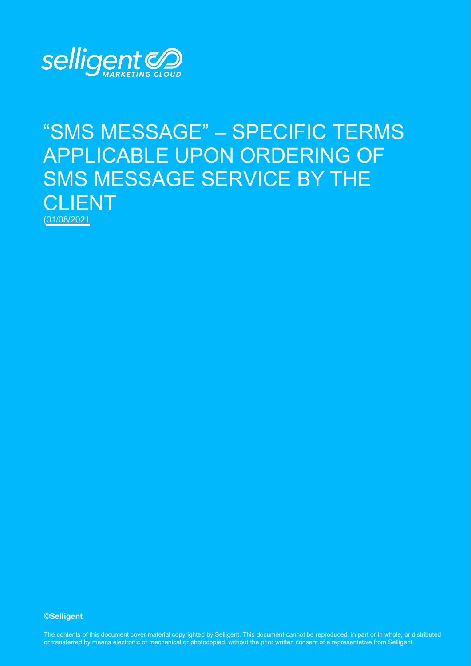

# "SMS MESSAGE" – SPECIFIC TERMS APPLICABLE UPON ORDERING OF SMS MESSAGE SERVICE BY THE CLIENT (01/08/2021

#### **©Selligent**

The contents of this document cover material copyrighted by Selligent. This document cannot be reproduced, in part or in whole, or distributed or transferred by means electronic or mechanical or photocopied, without the prior written consent of a representative from Selligent.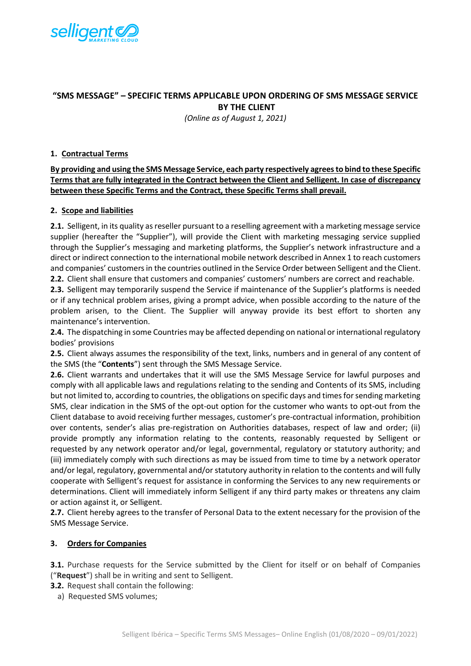

## **"SMS MESSAGE" – SPECIFIC TERMS APPLICABLE UPON ORDERING OF SMS MESSAGE SERVICE BY THE CLIENT**

*(Online as of August 1, 2021)*

### **1. Contractual Terms**

**By providing and using the SMS Message Service, each party respectively agrees to bind to these Specific Terms that are fully integrated in the Contract between the Client and Selligent. In case of discrepancy between these Specific Terms and the Contract, these Specific Terms shall prevail.** 

#### **2. Scope and liabilities**

**2.1.** Selligent, in its quality as reseller pursuant to a reselling agreement with a marketing message service supplier (hereafter the "Supplier"), will provide the Client with marketing messaging service supplied through the Supplier's messaging and marketing platforms, the Supplier's network infrastructure and a direct or indirect connection to the international mobile network described in Annex 1 to reach customers and companies' customers in the countries outlined in the Service Order between Selligent and the Client. **2.2.** Client shall ensure that customers and companies' customers' numbers are correct and reachable.

**2.3.** Selligent may temporarily suspend the Service if maintenance of the Supplier's platforms is needed or if any technical problem arises, giving a prompt advice, when possible according to the nature of the problem arisen, to the Client. The Supplier will anyway provide its best effort to shorten any maintenance's intervention.

**2.4.** The dispatching in some Countries may be affected depending on national or international regulatory bodies' provisions

**2.5.** Client always assumes the responsibility of the text, links, numbers and in general of any content of the SMS (the "**Contents**") sent through the SMS Message Service.

**2.6.** Client warrants and undertakes that it will use the SMS Message Service for lawful purposes and comply with all applicable laws and regulations relating to the sending and Contents of its SMS, including but not limited to, according to countries, the obligations on specific days and times for sending marketing SMS, clear indication in the SMS of the opt-out option for the customer who wants to opt-out from the Client database to avoid receiving further messages, customer's pre-contractual information, prohibition over contents, sender's alias pre-registration on Authorities databases, respect of law and order; (ii) provide promptly any information relating to the contents, reasonably requested by Selligent or requested by any network operator and/or legal, governmental, regulatory or statutory authority; and (iii) immediately comply with such directions as may be issued from time to time by a network operator and/or legal, regulatory, governmental and/or statutory authority in relation to the contents and will fully cooperate with Selligent's request for assistance in conforming the Services to any new requirements or determinations. Client will immediately inform Selligent if any third party makes or threatens any claim or action against it, or Selligent.

**2.7.** Client hereby agrees to the transfer of Personal Data to the extent necessary for the provision of the SMS Message Service.

#### **3. Orders for Companies**

**3.1.** Purchase requests for the Service submitted by the Client for itself or on behalf of Companies ("**Request**") shall be in writing and sent to Selligent.

**3.2.** Request shall contain the following:

a) Requested SMS volumes;